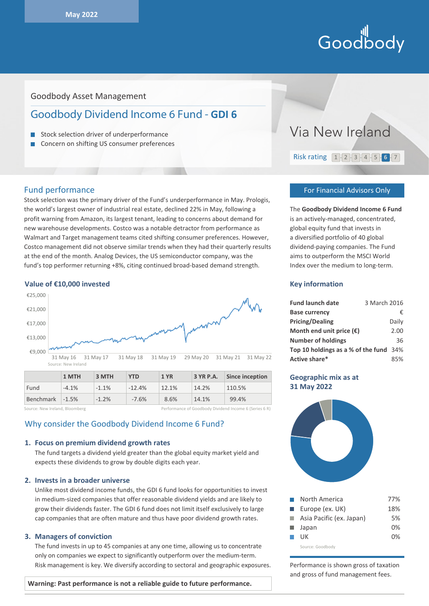# Hill<br>Goodbody

# Goodbody Asset Management

# Goodbody Dividend Income 6 Fund - **GDI 6**

- Stock selection driver of underperformance
- Concern on shifting US consumer preferences

# Fund performance

Stock selection was the primary driver of the Fund's underperformance in May. Prologis, the world's largest owner of industrial real estate, declined 22% in May, following a profit warning from Amazon, its largest tenant, leading to concerns about demand for new warehouse developments. Costco was a notable detractor from performance as Walmart and Target management teams cited shifting consumer preferences. However, Costco management did not observe similar trends when they had their quarterly results at the end of the month. Analog Devices, the US semiconductor company, was the fund's top performer returning +8%, citing continued broad-based demand strength.

#### **Value of €10,000 invested**



|                   | 1 MTH   | 3 MTH   | YTD      | 1 YR  | 3 YR P.A. | Since inception |
|-------------------|---------|---------|----------|-------|-----------|-----------------|
| Fund              | $-4.1%$ | $-1.1%$ | $-12.4%$ | 12.1% | 14.2%     | 110.5%          |
| Benchmark $-1.5%$ |         | $-1.2%$ | $-7.6%$  | 8.6%  | 14.1%     | 99.4%           |
|                   |         |         |          |       |           |                 |

Source: New Ireland, Bloomberg **Performance of Goodbody Dividend Income 6 (Series 6 R**)

# Why consider the Goodbody Dividend Income 6 Fund?

#### **1. Focus on premium dividend growth rates**

The fund targets a dividend yield greater than the global equity market yield and expects these dividends to grow by double digits each year.

#### **2. Invests in a broader universe**

Unlike most dividend income funds, the GDI 6 fund looks for opportunities to invest in medium-sized companies that offer reasonable dividend yields and are likely to grow their dividends faster. The GDI 6 fund does not limit itself exclusively to large cap companies that are often mature and thus have poor dividend growth rates.

#### **3. Managers of conviction**

The fund invests in up to 45 companies at any one time, allowing us to concentrate only on companies we expect to significantly outperform over the medium-term. Risk management is key. We diversify according to sectoral and geographic exposures.

#### **Warning: Past performance is not a reliable guide to future performance.**



#### For Financial Advisors Only

The **Goodbody Dividend Income 6 Fund** is an actively-managed, concentrated, global equity fund that invests in a diversified portfolio of 40 global dividend-paying companies. The Fund aims to outperform the MSCI World Index over the medium to long-term.

#### **Key information**

| <b>Fund launch date</b>                | 3 March 2016 |       |
|----------------------------------------|--------------|-------|
| <b>Base currency</b>                   |              | €     |
| <b>Pricing/Dealing</b>                 |              | Daily |
| Month end unit price $(\epsilon)$      |              | 2.00  |
| <b>Number of holdings</b>              |              | 36    |
| Top 10 holdings as a % of the fund 34% |              |       |
| Active share*                          |              | 85%   |

# **Geographic mix as at 31 May 2022**



| I.            | North America            | 77%   |
|---------------|--------------------------|-------|
| H.            | Europe (ex. UK)          | 18%   |
| a a           | Asia Pacific (ex. Japan) | 5%    |
| <b>The Co</b> | Japan                    | $0\%$ |
|               | UК                       | በ%    |
|               | Source: Goodbody         |       |

Performance is shown gross of taxation and gross of fund management fees.